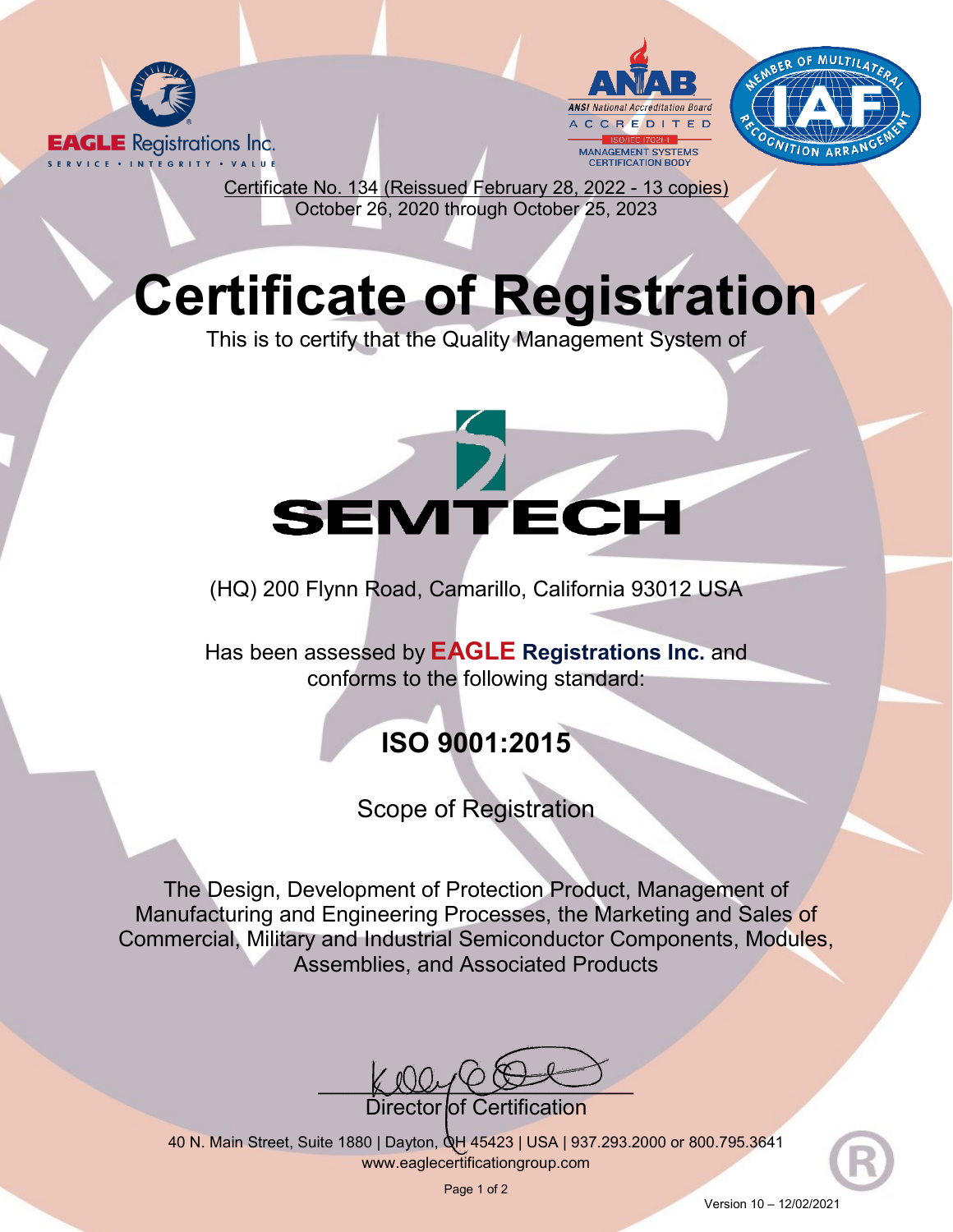





Certificate No. 134 (Reissued February 28, 2022 - 13 copies) October 26, 2020 through October 25, 2023

## **Certificate of Registration**

This is to certify that the Quality Management System of

# **SEMTECH**

(HQ) 200 Flynn Road, Camarillo, California 93012 USA

Has been assessed by **EAGLE Registrations Inc.** and conforms to the following standard:

## **ISO 9001:2015**

### Scope of Registration

The Design, Development of Protection Product, Management of Manufacturing and Engineering Processes, the Marketing and Sales of Commercial, Military and Industrial Semiconductor Components, Modules, Assemblies, and Associated Products

 $\text{LUCYC}$ 

Director*l*of Certification

40 N. Main Street, Suite 1880 | Dayton, OH 45423 | USA | 937.293.2000 or 800.795.3641 [www.eaglecertificationgroup.com](http://www.eaglecertificationgroup.com/)

Page 1 of 2

Version 10 – 12/02/2021